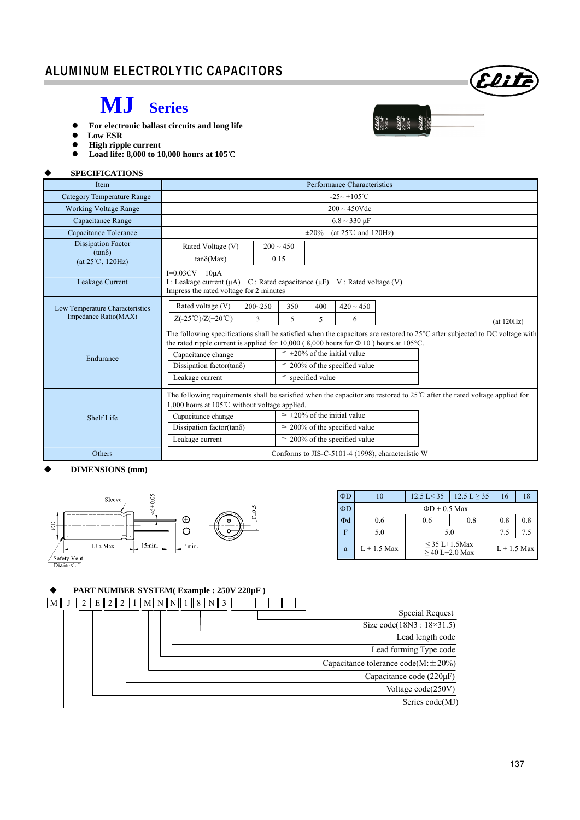# Elite

 $\frac{220 \text{ J}}{220 \text{ J}} \approx 200 \text{ J}$ <br> $\frac{220 \text{ J}}{220 \text{ J}} \approx 200 \text{ J}$ <br> $\frac{220 \text{ J}}{220 \text{ J}} \approx 20 \text{ J}$ 

### **MJ Series**

- **For electronic ballast circuits and long life**
- **Low ESR**
- High ripple current<br>● Load life: 8,000 to 1
- **Load life: 8,000 to 10,000 hours at 105**℃

#### **SPECIFICATIONS**

| Item                                                                    | Performance Characteristics                                                                                                                                                                                                                                                                                                                                                                                               |  |  |  |  |  |
|-------------------------------------------------------------------------|---------------------------------------------------------------------------------------------------------------------------------------------------------------------------------------------------------------------------------------------------------------------------------------------------------------------------------------------------------------------------------------------------------------------------|--|--|--|--|--|
| Category Temperature Range                                              | $-25 \sim +105^{\circ}$ C                                                                                                                                                                                                                                                                                                                                                                                                 |  |  |  |  |  |
| <b>Working Voltage Range</b>                                            | $200 \sim 450$ Vdc                                                                                                                                                                                                                                                                                                                                                                                                        |  |  |  |  |  |
| Capacitance Range                                                       | $6.8 \sim 330 \,\mu F$                                                                                                                                                                                                                                                                                                                                                                                                    |  |  |  |  |  |
| Capacitance Tolerance                                                   | (at $25^{\circ}$ C and $120$ Hz)<br>$\pm 20\%$                                                                                                                                                                                                                                                                                                                                                                            |  |  |  |  |  |
| <b>Dissipation Factor</b><br>$(tan\delta)$<br>$(at 25^{\circ}C, 120Hz)$ | Rated Voltage (V)<br>$200 \sim 450$<br>$tan\delta(Max)$<br>0.15                                                                                                                                                                                                                                                                                                                                                           |  |  |  |  |  |
| Leakage Current                                                         | $I=0.03CV + 10\mu A$<br>I : Leakage current ( $\mu$ A) C : Rated capacitance ( $\mu$ F) V : Rated voltage (V)<br>Impress the rated voltage for 2 minutes                                                                                                                                                                                                                                                                  |  |  |  |  |  |
| Low Temperature Characteristics<br>Impedance Ratio(MAX)                 | Rated voltage (V)<br>$420 \sim 450$<br>$200 - 250$<br>350<br>400<br>$Z(-25^{\circ}\text{C})/Z(+20^{\circ}\text{C})$<br>3<br>5<br>6<br>5.<br>(at 120Hz)                                                                                                                                                                                                                                                                    |  |  |  |  |  |
| Endurance                                                               | The following specifications shall be satisfied when the capacitors are restored to $25^{\circ}$ C after subjected to DC voltage with<br>the rated ripple current is applied for 10,000 (8,000 hours for $\Phi$ 10) hours at 105 °C.<br>$\leq \pm 20\%$ of the initial value<br>Capacitance change<br>Dissipation factor(tan $\delta$ )<br>$\leq$ 200% of the specified value<br>$\le$ specified value<br>Leakage current |  |  |  |  |  |
| <b>Shelf Life</b>                                                       | The following requirements shall be satisfied when the capacitor are restored to $25^{\circ}$ after the rated voltage applied for<br>000 hours at 105℃ without voltage applied.<br>$\leq \pm 20\%$ of the initial value<br>Capacitance change<br>$\leq$ 200% of the specified value<br>Dissipation factor(tan $\delta$ )<br>$\leq$ 200% of the specified value<br>Leakage current                                         |  |  |  |  |  |
| Others                                                                  | Conforms to JIS-C-5101-4 (1998), characteristic W                                                                                                                                                                                                                                                                                                                                                                         |  |  |  |  |  |

#### **DIMENSIONS (mm)**



| $\Phi$ D |             | $12.5 \text{ L} < 35$                     | $12.5 \text{ L} \geq 35$ | 16            | 18  |  |  |
|----------|-------------|-------------------------------------------|--------------------------|---------------|-----|--|--|
| ФD       |             | $\Phi$ D + 0.5 Max                        |                          |               |     |  |  |
| Фd       | 0.6         | 0.6                                       | 0.8                      | 0.8           | 0.8 |  |  |
|          | 5.0         | 5.0                                       | 7.5                      | 7.5           |     |  |  |
| a        | $L+1.5$ Max | $\leq$ 35 L+1.5Max<br>$\geq$ 40 L+2.0 Max |                          | $L + 1.5$ Max |     |  |  |

#### **PART NUMBER SYSTEM( Example : 250V 220µF )**